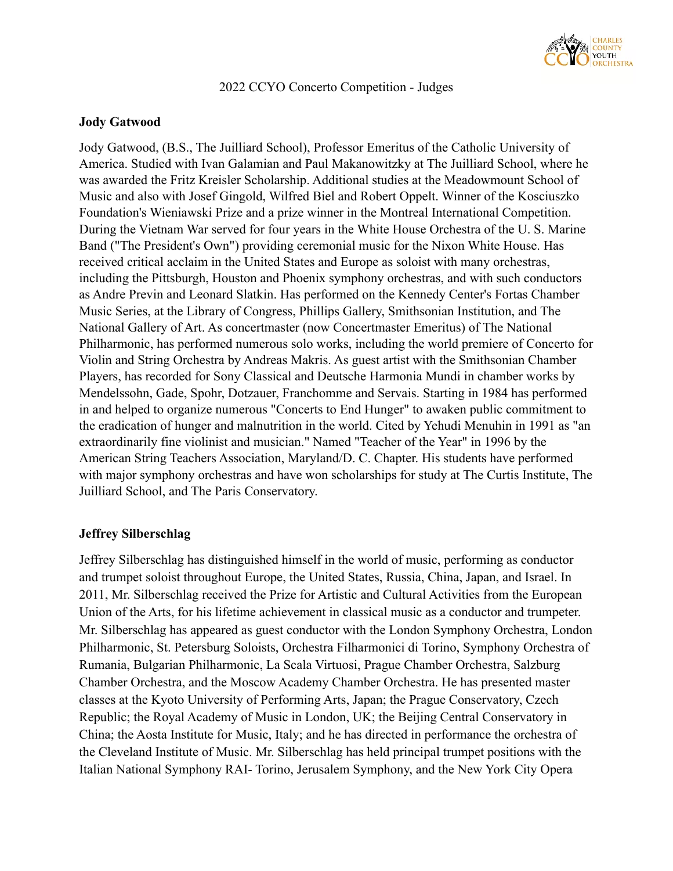

2022 CCYO Concerto Competition - Judges

## **Jody Gatwood**

Jody Gatwood, (B.S., The Juilliard School), Professor Emeritus of the Catholic University of America. Studied with Ivan Galamian and Paul Makanowitzky at The Juilliard School, where he was awarded the Fritz Kreisler Scholarship. Additional studies at the Meadowmount School of Music and also with Josef Gingold, Wilfred Biel and Robert Oppelt. Winner of the Kosciuszko Foundation's Wieniawski Prize and a prize winner in the Montreal International Competition. During the Vietnam War served for four years in the White House Orchestra of the U. S. Marine Band ("The President's Own") providing ceremonial music for the Nixon White House. Has received critical acclaim in the United States and Europe as soloist with many orchestras, including the Pittsburgh, Houston and Phoenix symphony orchestras, and with such conductors as Andre Previn and Leonard Slatkin. Has performed on the Kennedy Center's Fortas Chamber Music Series, at the Library of Congress, Phillips Gallery, Smithsonian Institution, and The National Gallery of Art. As concertmaster (now Concertmaster Emeritus) of The National Philharmonic, has performed numerous solo works, including the world premiere of Concerto for Violin and String Orchestra by Andreas Makris. As guest artist with the Smithsonian Chamber Players, has recorded for Sony Classical and Deutsche Harmonia Mundi in chamber works by Mendelssohn, Gade, Spohr, Dotzauer, Franchomme and Servais. Starting in 1984 has performed in and helped to organize numerous "Concerts to End Hunger" to awaken public commitment to the eradication of hunger and malnutrition in the world. Cited by Yehudi Menuhin in 1991 as "an extraordinarily fine violinist and musician." Named "Teacher of the Year" in 1996 by the American String Teachers Association, Maryland/D. C. Chapter. His students have performed with major symphony orchestras and have won scholarships for study at The Curtis Institute, The Juilliard School, and The Paris Conservatory.

## **Jeffrey Silberschlag**

Jeffrey Silberschlag has distinguished himself in the world of music, performing as conductor and trumpet soloist throughout Europe, the United States, Russia, China, Japan, and Israel. In 2011, Mr. Silberschlag received the Prize for Artistic and Cultural Activities from the European Union of the Arts, for his lifetime achievement in classical music as a conductor and trumpeter. Mr. Silberschlag has appeared as guest conductor with the London Symphony Orchestra, London Philharmonic, St. Petersburg Soloists, Orchestra Filharmonici di Torino, Symphony Orchestra of Rumania, Bulgarian Philharmonic, La Scala Virtuosi, Prague Chamber Orchestra, Salzburg Chamber Orchestra, and the Moscow Academy Chamber Orchestra. He has presented master classes at the Kyoto University of Performing Arts, Japan; the Prague Conservatory, Czech Republic; the Royal Academy of Music in London, UK; the Beijing Central Conservatory in China; the Aosta Institute for Music, Italy; and he has directed in performance the orchestra of the Cleveland Institute of Music. Mr. Silberschlag has held principal trumpet positions with the Italian National Symphony RAI- Torino, Jerusalem Symphony, and the New York City Opera